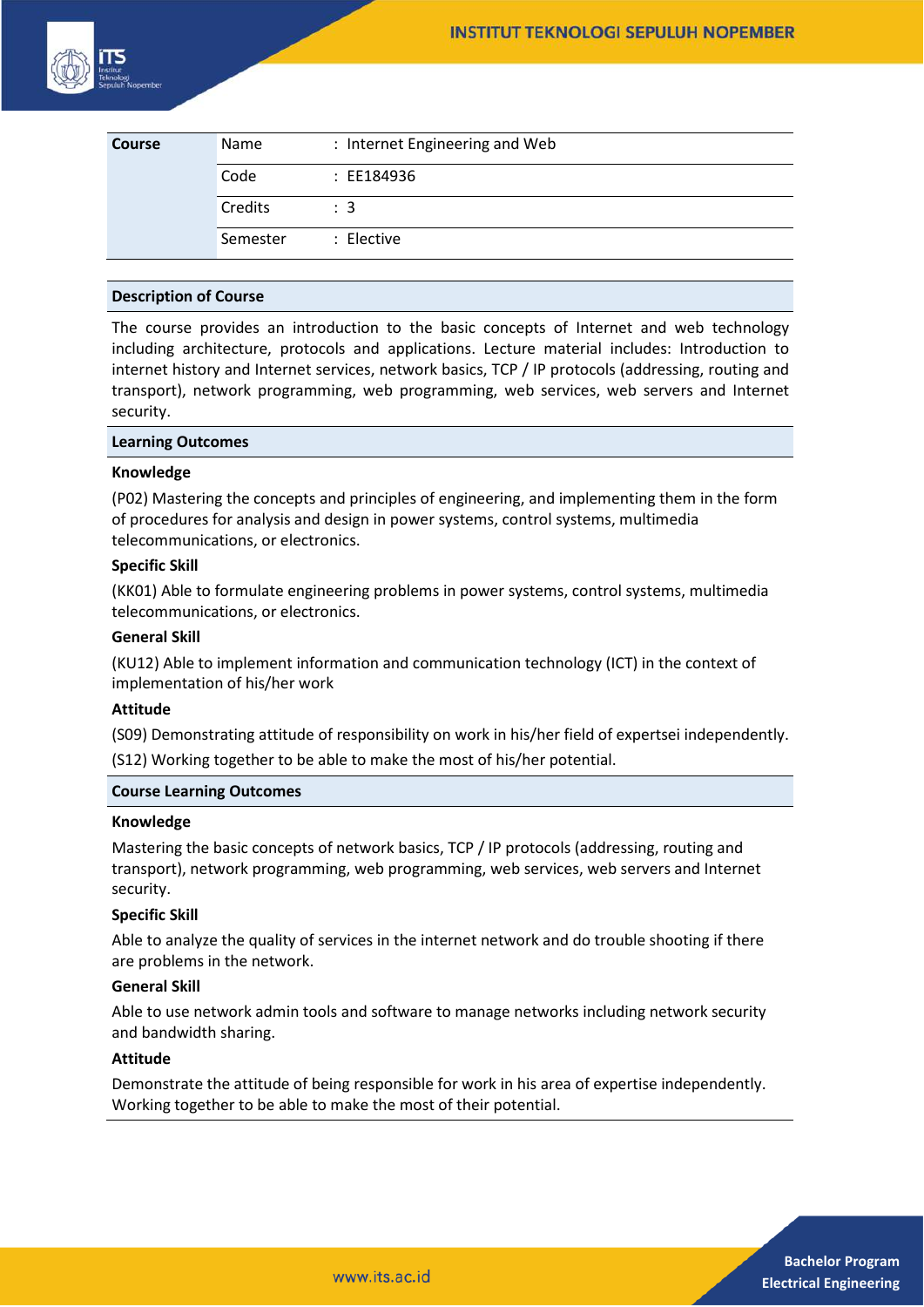

| Course | Name     | : Internet Engineering and Web |
|--------|----------|--------------------------------|
|        | Code     | : EE184936                     |
|        | Credits  | $\therefore$ 3                 |
|        | Semester | : Elective                     |

## **Description of Course**

The course provides an introduction to the basic concepts of Internet and web technology including architecture, protocols and applications. Lecture material includes: Introduction to internet history and Internet services, network basics, TCP / IP protocols (addressing, routing and transport), network programming, web programming, web services, web servers and Internet security.

## **Learning Outcomes**

## **Knowledge**

(P02) Mastering the concepts and principles of engineering, and implementing them in the form of procedures for analysis and design in power systems, control systems, multimedia telecommunications, or electronics.

## **Specific Skill**

(KK01) Able to formulate engineering problems in power systems, control systems, multimedia telecommunications, or electronics.

## **General Skill**

(KU12) Able to implement information and communication technology (ICT) in the context of implementation of his/her work

## **Attitude**

(S09) Demonstrating attitude of responsibility on work in his/her field of expertsei independently. (S12) Working together to be able to make the most of his/her potential.

## **Course Learning Outcomes**

#### **Knowledge**

Mastering the basic concepts of network basics, TCP / IP protocols (addressing, routing and transport), network programming, web programming, web services, web servers and Internet security.

## **Specific Skill**

Able to analyze the quality of services in the internet network and do trouble shooting if there are problems in the network.

### **General Skill**

Able to use network admin tools and software to manage networks including network security and bandwidth sharing.

## **Attitude**

Demonstrate the attitude of being responsible for work in his area of expertise independently. Working together to be able to make the most of their potential.